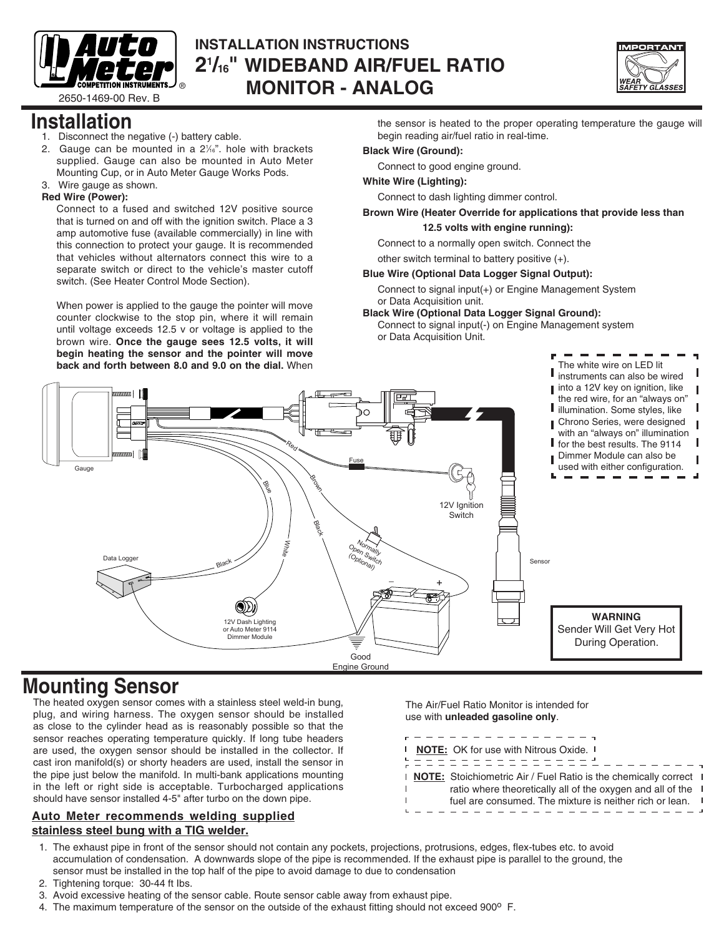

## **INSTALLATION INSTRUCTIONS 21 /16 " WIDEBAND AIR/FUEL RATIO Example throw instruments J** ® **MONITOR - ANALOG**<br>2650-1469-00 Rev. B



## **Installation**

- 1. Disconnect the negative (-) battery cable.
- 2. Gauge can be mounted in a  $2\frac{1}{6}$ ". hole with brackets supplied. Gauge can also be mounted in Auto Meter Mounting Cup, or in Auto Meter Gauge Works Pods.
- 3. Wire gauge as shown.

### **Red Wire (Power):**

Connect to a fused and switched 12V positive source that is turned on and off with the ignition switch. Place a 3 amp automotive fuse (available commercially) in line with this connection to protect your gauge. It is recommended that vehicles without alternators connect this wire to a separate switch or direct to the vehicle's master cutoff switch. (See Heater Control Mode Section).

When power is applied to the gauge the pointer will move counter clockwise to the stop pin, where it will remain until voltage exceeds 12.5 v or voltage is applied to the brown wire. **Once the gauge sees 12.5 volts, it will begin heating the sensor and the pointer will move back and forth between 8.0 and 9.0 on the dial.** When

the sensor is heated to the proper operating temperature the gauge will begin reading air/fuel ratio in real-time.

### **Black Wire (Ground):**

Connect to good engine ground.

#### **White Wire (Lighting):**

Connect to dash lighting dimmer control.

### **Brown Wire (Heater Override for applications that provide less than**

 **12.5 volts with engine running):**

Connect to a normally open switch. Connect the

other switch terminal to battery positive (+).

#### **Blue Wire (Optional Data Logger Signal Output):**

Connect to signal input(+) or Engine Management System or Data Acquisition unit.

**Black Wire (Optional Data Logger Signal Ground):** 

Connect to signal input(-) on Engine Management system or Data Acquisition Unit.



### **Mounting Sensor**

The heated oxygen sensor comes with a stainless steel weld-in bung, plug, and wiring harness. The oxygen sensor should be installed as close to the cylinder head as is reasonably possible so that the sensor reaches operating temperature quickly. If long tube headers are used, the oxygen sensor should be installed in the collector. If cast iron manifold(s) or shorty headers are used, install the sensor in the pipe just below the manifold. In multi-bank applications mounting in the left or right side is acceptable. Turbocharged applications should have sensor installed 4-5" after turbo on the down pipe.

### **Auto Meter recommends welding supplied stainless steel bung with a TIG welder.**

The Air/Fuel Ratio Monitor is intended for use with **unleaded gasoline only**.

|              | - - - - - - - - - - - - -                                                       |  |
|--------------|---------------------------------------------------------------------------------|--|
| $\mathbf{I}$ | <b>NOTE:</b> OK for use with Nitrous Oxide. I                                   |  |
|              | - - - - - - - - - - - - - - -<br>. <u>. .</u>                                   |  |
|              | <b>NOTE:</b> Stoichiometric Air / Fuel Ratio is the chemically correct <b>I</b> |  |
|              | ratio where theoretically all of the oxygen and all of the                      |  |
|              | fuel are consumed. The mixture is neither rich or lean.                         |  |
|              |                                                                                 |  |
|              |                                                                                 |  |

- 1. The exhaust pipe in front of the sensor should not contain any pockets, projections, protrusions, edges, flex-tubes etc. to avoid accumulation of condensation. A downwards slope of the pipe is recommended. If the exhaust pipe is parallel to the ground, the sensor must be installed in the top half of the pipe to avoid damage to due to condensation
- 2. Tightening torque: 30-44 ft Ibs.
- 3. Avoid excessive heating of the sensor cable. Route sensor cable away from exhaust pipe.
- 4. The maximum temperature of the sensor on the outside of the exhaust fitting should not exceed 900<sup>o</sup> F.